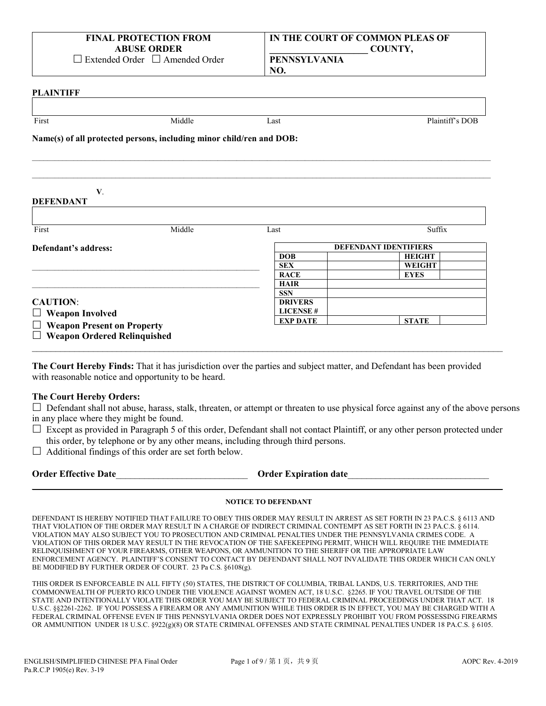| <b>FINAL PROTECTION FROM</b> |                                            |  |
|------------------------------|--------------------------------------------|--|
| <b>ABUSE ORDER</b>           |                                            |  |
|                              | $\Box$ Extended Order $\Box$ Amended Order |  |

| IN THE COURT OF COMMON PLEAS OF |         |
|---------------------------------|---------|
|                                 | COUNTY, |

**PENNSYLVANIA NO.**

#### **PLAINTIFF**

| First                                                                | Middle | Last                               | Plaintiff's DOB              |
|----------------------------------------------------------------------|--------|------------------------------------|------------------------------|
| Name(s) of all protected persons, including minor child/ren and DOB: |        |                                    |                              |
|                                                                      |        |                                    |                              |
| V.                                                                   |        |                                    |                              |
| <b>DEFENDANT</b>                                                     |        |                                    |                              |
|                                                                      |        |                                    |                              |
|                                                                      | Middle | Last                               | Suffix                       |
|                                                                      |        |                                    | <b>DEFENDANT IDENTIFIERS</b> |
|                                                                      |        | <b>DOB</b>                         | <b>HEIGHT</b>                |
|                                                                      |        | <b>SEX</b>                         | <b>WEIGHT</b>                |
|                                                                      |        | <b>RACE</b>                        | <b>EYES</b>                  |
|                                                                      |        | <b>HAIR</b>                        |                              |
| First<br>Defendant's address:                                        |        | <b>SSN</b>                         |                              |
|                                                                      |        | <b>DRIVERS</b>                     |                              |
| <b>CAUTION:</b><br>$\Box$ Weapon Involved                            |        | <b>LICENSE#</b><br><b>EXP DATE</b> | <b>STATE</b>                 |

**The Court Hereby Finds:** That it has jurisdiction over the parties and subject matter, and Defendant has been provided with reasonable notice and opportunity to be heard.

## **The Court Hereby Orders:**

 $\Box$  Defendant shall not abuse, harass, stalk, threaten, or attempt or threaten to use physical force against any of the above persons in any place where they might be found.

 $\Box$  Except as provided in Paragraph 5 of this order, Defendant shall not contact Plaintiff, or any other person protected under this order, by telephone or by any other means, including through third persons.

 $\Box$  Additional findings of this order are set forth below.

| <b>Order Effective Date</b> | <b>Order Expiration date</b> |  |
|-----------------------------|------------------------------|--|
|                             |                              |  |

## **NOTICE TO DEFENDANT**

DEFENDANT IS HEREBY NOTIFIED THAT FAILURE TO OBEY THIS ORDER MAY RESULT IN ARREST AS SET FORTH IN 23 PA.C.S. § 6113 AND THAT VIOLATION OF THE ORDER MAY RESULT IN A CHARGE OF INDIRECT CRIMINAL CONTEMPT AS SET FORTH IN 23 PA.C.S. § 6114. VIOLATION MAY ALSO SUBJECT YOU TO PROSECUTION AND CRIMINAL PENALTIES UNDER THE PENNSYLVANIA CRIMES CODE. A VIOLATION OF THIS ORDER MAY RESULT IN THE REVOCATION OF THE SAFEKEEPING PERMIT, WHICH WILL REQUIRE THE IMMEDIATE RELINQUISHMENT OF YOUR FIREARMS, OTHER WEAPONS, OR AMMUNITION TO THE SHERIFF OR THE APPROPRIATE LAW ENFORCEMENT AGENCY. PLAINTIFF'S CONSENT TO CONTACT BY DEFENDANT SHALL NOT INVALIDATE THIS ORDER WHICH CAN ONLY BE MODIFIED BY FURTHER ORDER OF COURT. 23 Pa C.S. §6108(g).

THIS ORDER IS ENFORCEABLE IN ALL FIFTY (50) STATES, THE DISTRICT OF COLUMBIA, TRIBAL LANDS, U.S. TERRITORIES, AND THE COMMONWEALTH OF PUERTO RICO UNDER THE VIOLENCE AGAINST WOMEN ACT, 18 U.S.C. §2265. IF YOU TRAVEL OUTSIDE OF THE STATE AND INTENTIONALLY VIOLATE THIS ORDER YOU MAY BE SUBJECT TO FEDERAL CRIMINAL PROCEEDINGS UNDER THAT ACT. 18 U.S.C. §§2261-2262. IF YOU POSSESS A FIREARM OR ANY AMMUNITION WHILE THIS ORDER IS IN EFFECT, YOU MAY BE CHARGED WITH A FEDERAL CRIMINAL OFFENSE EVEN IF THIS PENNSYLVANIA ORDER DOES NOT EXPRESSLY PROHIBIT YOU FROM POSSESSING FIREARMS OR AMMUNITION UNDER 18 U.S.C. §922(g)(8) OR STATE CRIMINAL OFFENSES AND STATE CRIMINAL PENALTIES UNDER 18 PA.C.S. § 6105.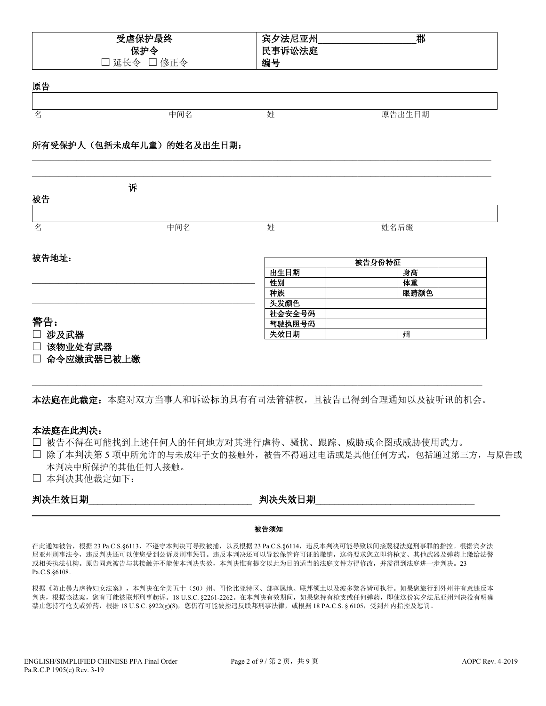| 受虐保护最终               | 郡<br>亚州<br>冝<br>夕洗尼<br>w |
|----------------------|--------------------------|
| 保护令                  | 民事诉讼法庭                   |
| 修正令<br>延长令<br>$\sim$ | 编号                       |

原告

| 夕<br>⊢ | 中间名<br>$\cdots$ | <br>灴 | 生日期<br>$\overline{\phantom{a}}$<br>ノハ |
|--------|-----------------|-------|---------------------------------------|

 $\mathcal{L}_\mathcal{L} = \{ \mathcal{L}_\mathcal{L} = \{ \mathcal{L}_\mathcal{L} = \{ \mathcal{L}_\mathcal{L} = \{ \mathcal{L}_\mathcal{L} = \{ \mathcal{L}_\mathcal{L} = \{ \mathcal{L}_\mathcal{L} = \{ \mathcal{L}_\mathcal{L} = \{ \mathcal{L}_\mathcal{L} = \{ \mathcal{L}_\mathcal{L} = \{ \mathcal{L}_\mathcal{L} = \{ \mathcal{L}_\mathcal{L} = \{ \mathcal{L}_\mathcal{L} = \{ \mathcal{L}_\mathcal{L} = \{ \mathcal{L}_\mathcal{$ 

### 所有受保护人(包括未成年儿童)的姓名及出生日期:

| 被告                | 诉   |        |        |
|-------------------|-----|--------|--------|
|                   |     |        |        |
| 名                 | 中间名 | 姓      | 姓名后缀   |
| 被告地址:             |     |        | 被告身份特征 |
|                   |     | 出生日期   | 身高     |
|                   |     | 性别     | 体重     |
|                   |     | 种族     | 眼睛颜色   |
|                   |     | 头发颜色   |        |
|                   |     | 社会安全号码 |        |
| 警告:               |     | 驾驶执照号码 |        |
| □ 涉及武器            |     | 失效日期   | 州      |
| 该物业处有武器<br>$\Box$ |     |        |        |
| □ 命令应缴武器已被上缴      |     |        |        |

本法庭在此裁定:本庭对双方当事人和诉讼标的具有有司法管辖权,且被告已得到合理通知以及被听讯的机会。

 $\mathcal{L}_\mathcal{L} = \mathcal{L}_\mathcal{L} = \mathcal{L}_\mathcal{L} = \mathcal{L}_\mathcal{L} = \mathcal{L}_\mathcal{L} = \mathcal{L}_\mathcal{L} = \mathcal{L}_\mathcal{L} = \mathcal{L}_\mathcal{L} = \mathcal{L}_\mathcal{L} = \mathcal{L}_\mathcal{L} = \mathcal{L}_\mathcal{L} = \mathcal{L}_\mathcal{L} = \mathcal{L}_\mathcal{L} = \mathcal{L}_\mathcal{L} = \mathcal{L}_\mathcal{L} = \mathcal{L}_\mathcal{L} = \mathcal{L}_\mathcal{L}$ 

### 本法庭在此判决:

- 被告不得在可能找到上述任何人的任何地方对其进行虐待、骚扰、跟踪、威胁或企图或威胁使用武力。
- 除了本判决第 5 项中所允许的与未成年子女的接触外,被告不得通过电话或是其他任何方式,包括通过第三方,与原告或 本判决中所保护的其他任何人接触。
- 本判决其他裁定如下:

| 判决生效日<br> 期<br>. | 女日期<br>- MANU<br>---<br>. . |
|------------------|-----------------------------|
|                  |                             |

#### 被告须知

在此通知被告,根据 23 Pa.C.S.§6113,不遵守本判决可导致被捕,以及根据 23 Pa.C.S.§6114,违反本判决可能导致以间接蔑视法庭刑事罪的指控。根据宾夕法 尼亚州刑事法令,违反判决还可以使您受到公诉及刑事惩罚。违反本判决还可以导致保管许可证的撤销,这将要求您立即将枪支、其他武器及弹药上缴给法警 或相关执法机构。原告同意被告与其接触并不能使本判决失效,本判决惟有提交以此为目的适当的法庭文件方得修改,并需得到法庭进一步判决。23 Pa.C.S.§6108。

根据《防止暴力虐待妇女法案》,本判决在全美五十(50)州、哥伦比亚特区、部落属地、联邦领土以及波多黎各皆可执行。如果您旅行到外州并有意违反本 判决,根据该法案,您有可能被联邦刑事起诉。18 U.S.C. §2261-2262。在本判决有效期间,如果您持有枪支或任何弹药,即使这份宾夕法尼亚州判决没有明确 禁止您持有枪支或弹药,根据 18 U.S.C. §922(g)(8), 您仍有可能被控违反联邦刑事法律, 或根据 18 PA.C.S. § 6105, 受到州内指控及惩罚。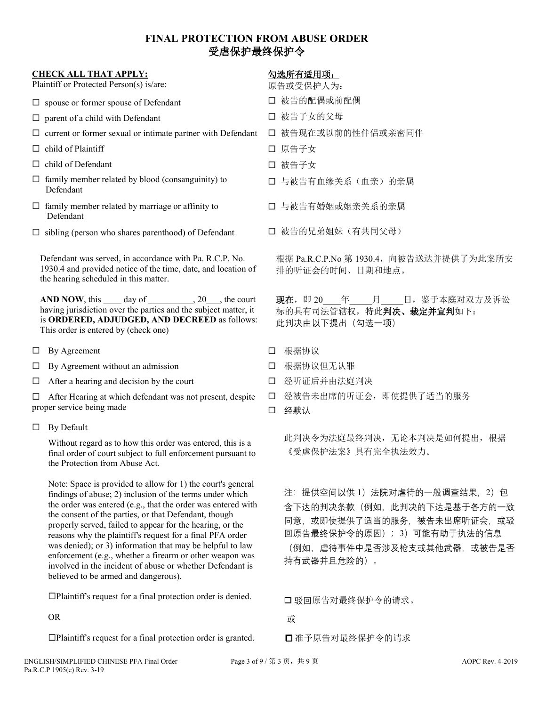# **FINAL PROTECTION FROM ABUSE ORDER**  受虐保护最终保护令

|                                                                                                                                                                   | <b>CHECK ALL THAT APPLY:</b><br>Plaintiff or Protected Person(s) is/are:                                                                                                                                             |             | 勾选所有适用项:<br>原告或受保护人为:                                                                                                                                                                                                                                                                                                                         |
|-------------------------------------------------------------------------------------------------------------------------------------------------------------------|----------------------------------------------------------------------------------------------------------------------------------------------------------------------------------------------------------------------|-------------|-----------------------------------------------------------------------------------------------------------------------------------------------------------------------------------------------------------------------------------------------------------------------------------------------------------------------------------------------|
|                                                                                                                                                                   | $\square$ spouse or former spouse of Defendant                                                                                                                                                                       |             | □ 被告的配偶或前配偶                                                                                                                                                                                                                                                                                                                                   |
|                                                                                                                                                                   | $\Box$ parent of a child with Defendant                                                                                                                                                                              |             | 口 被告子女的父母                                                                                                                                                                                                                                                                                                                                     |
|                                                                                                                                                                   | $\Box$ current or former sexual or intimate partner with Defendant                                                                                                                                                   |             | 口 被告现在或以前的性伴侣或亲密同伴                                                                                                                                                                                                                                                                                                                            |
|                                                                                                                                                                   | $\Box$ child of Plaintiff                                                                                                                                                                                            |             | 口 原告子女                                                                                                                                                                                                                                                                                                                                        |
|                                                                                                                                                                   | $\Box$ child of Defendant                                                                                                                                                                                            |             | □ 被告子女                                                                                                                                                                                                                                                                                                                                        |
|                                                                                                                                                                   | $\Box$ family member related by blood (consanguinity) to<br>Defendant                                                                                                                                                |             | 口 与被告有血缘关系(血亲)的亲属                                                                                                                                                                                                                                                                                                                             |
|                                                                                                                                                                   | $\Box$ family member related by marriage or affinity to<br>Defendant                                                                                                                                                 |             | 口 与被告有婚姻或姻亲关系的亲属                                                                                                                                                                                                                                                                                                                              |
|                                                                                                                                                                   | $\Box$ sibling (person who shares parenthood) of Defendant                                                                                                                                                           |             | 口 被告的兄弟姐妹(有共同父母)                                                                                                                                                                                                                                                                                                                              |
| Defendant was served, in accordance with Pa. R.C.P. No.<br>1930.4 and provided notice of the time, date, and location of<br>the hearing scheduled in this matter. |                                                                                                                                                                                                                      |             | 根据 Pa.R.C.P.No 第 1930.4, 向被告送达并提供了为此案所安<br>排的听证会的时间、日期和地点。                                                                                                                                                                                                                                                                                    |
|                                                                                                                                                                   | AND NOW, this $\_\_\_$ day of $\_\_\_\_$ , 20, the court<br>having jurisdiction over the parties and the subject matter, it<br>is ORDERED, ADJUDGED, AND DECREED as follows:<br>This order is entered by (check one) |             | <b>现在</b> , 即 20 年 月 日, 鉴于本庭对双方及诉讼<br>标的具有司法管辖权,特此判决、裁定并宣判如下:<br>此判决由以下提出 (勾选一项)                                                                                                                                                                                                                                                              |
|                                                                                                                                                                   | By Agreement<br>ц                                                                                                                                                                                                    | □           | 根据协议                                                                                                                                                                                                                                                                                                                                          |
|                                                                                                                                                                   | By Agreement without an admission<br>ப                                                                                                                                                                               | □           | 根据协议但无认罪                                                                                                                                                                                                                                                                                                                                      |
|                                                                                                                                                                   | After a hearing and decision by the court<br>□                                                                                                                                                                       | □           | 经听证后并由法庭判决                                                                                                                                                                                                                                                                                                                                    |
|                                                                                                                                                                   | After Hearing at which defendant was not present, despite<br>□<br>proper service being made                                                                                                                          | $\Box$<br>□ | 经被告未出席的听证会, 即使提供了适当的服务<br>经默认                                                                                                                                                                                                                                                                                                                 |
|                                                                                                                                                                   | By Default<br>$\Box$                                                                                                                                                                                                 |             |                                                                                                                                                                                                                                                                                                                                               |
|                                                                                                                                                                   | Without regard as to how this order was entered, this is a<br>final order of court subject to full enforcement pursuant to<br>the Protection from Abuse Act.                                                         |             | 此判决令为法庭最终判决, 无论本判决是如何提出, 根据<br>《受虐保护法案》具有完全执法效力。                                                                                                                                                                                                                                                                                              |
|                                                                                                                                                                   | Note: Space is provided to allow for 1) the court's general<br>findings of abuse; 2) inclusion of the terms under which<br>the order was entered (e.g. that the order was entered with                               |             | 注: 提供空间以供 1) 法院对虐待的一般调查结果, 2) 包<br>$\triangle$ T $\vee$ + $\perp$ $\perp$ $\perp$ $\perp$ $\perp$ $\perp$ $\perp$ $\perp$ $\perp$ $\perp$ $\perp$ $\perp$ $\perp$ $\perp$ $\perp$ $\perp$ $\perp$ $\perp$ $\perp$ $\perp$ $\perp$ $\perp$ $\perp$ $\perp$ $\perp$ $\perp$ $\perp$ $\perp$ $\perp$ $\perp$ $\perp$ $\perp$ $\perp$ $\perp$ $\$ |

the order was entered (e.g., that the order was entered with the consent of the parties, or that Defendant, though properly served, failed to appear for the hearing, or the reasons why the plaintiff's request for a final PFA order was denied); or 3) information that may be helpful to law enforcement (e.g., whether a firearm or other weapon was involved in the incident of abuse or whether Defendant is believed to be armed and dangerous).

Plaintiff's request for a final protection order is denied.

OR

Plaintiff's request for a final protection order is granted.

是: 2) 包 含下达的判决条款(例如,此判决的下达是基于各方的一致 同意, 或即使提供了适当的服务, 被告未出席听证会, 或驳 回原告最终保护令的原因); 3)可能有助于执法的信息

(例如,虐待事件中是否涉及枪支或其他武器,或被告是否 持有武器并且危险的)。

驳回原告对最终保护令的请求。

准予原告对最终保护令的请求

或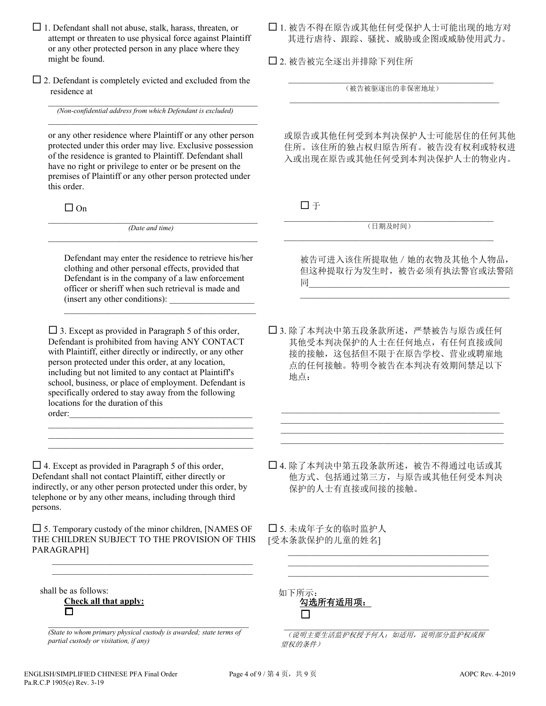- $\Box$  1. Defendant shall not abuse, stalk, harass, threaten, or attempt or threaten to use physical force against Plaintiff or any other protected person in any place where they might be found.
- $\square$  2. Defendant is completely evicted and excluded from the residence at

 $\mathcal{L}_\text{max}$  and  $\mathcal{L}_\text{max}$  and  $\mathcal{L}_\text{max}$  and  $\mathcal{L}_\text{max}$  and  $\mathcal{L}_\text{max}$ *(Non-confidential address from which Defendant is excluded)*

or any other residence where Plaintiff or any other person protected under this order may live. Exclusive possession of the residence is granted to Plaintiff. Defendant shall have no right or privilege to enter or be present on the premises of Plaintiff or any other person protected under this order.

 $\mathcal{L}_\text{max}$  and  $\mathcal{L}_\text{max}$  and  $\mathcal{L}_\text{max}$  and  $\mathcal{L}_\text{max}$  and  $\mathcal{L}_\text{max}$ 

 $\Box$  On

 $\_$  , and the set of the set of the set of the set of the set of the set of the set of the set of the set of the set of the set of the set of the set of the set of the set of the set of the set of the set of the set of th *(Date and time)*  $\_$  ,  $\_$  ,  $\_$  ,  $\_$  ,  $\_$  ,  $\_$  ,  $\_$  ,  $\_$  ,  $\_$  ,  $\_$  ,  $\_$  ,  $\_$  ,  $\_$  ,  $\_$  ,  $\_$  ,  $\_$ 

Defendant may enter the residence to retrieve his/her clothing and other personal effects, provided that Defendant is in the company of a law enforcement officer or sheriff when such retrieval is made and (insert any other conditions):

\_\_\_\_\_\_\_\_\_\_\_\_\_\_\_\_\_\_\_\_\_\_\_\_\_\_\_\_\_\_\_\_\_\_\_\_\_\_\_\_\_\_\_

 $\square$  3. Except as provided in Paragraph 5 of this order, Defendant is prohibited from having ANY CONTACT with Plaintiff, either directly or indirectly, or any other person protected under this order, at any location, including but not limited to any contact at Plaintiff's school, business, or place of employment. Defendant is specifically ordered to stay away from the following locations for the duration of this order:\_\_\_\_\_\_\_\_\_\_\_\_\_\_\_\_\_\_\_\_\_\_\_\_\_\_\_\_\_\_\_\_\_\_\_\_\_\_\_\_\_

 $\mathcal{L}_\text{max}$  , and the set of the set of the set of the set of the set of the set of the set of the set of the set of the set of the set of the set of the set of the set of the set of the set of the set of the set of the  $\mathcal{L}_\text{max}$  and  $\mathcal{L}_\text{max}$  and  $\mathcal{L}_\text{max}$  and  $\mathcal{L}_\text{max}$  and  $\mathcal{L}_\text{max}$ \_\_\_\_\_\_\_\_\_\_\_\_\_\_\_\_\_\_\_\_\_\_\_\_\_\_\_\_\_\_\_\_\_\_\_\_\_\_\_\_\_\_\_\_\_\_

 $\Box$  4. Except as provided in Paragraph 5 of this order, Defendant shall not contact Plaintiff, either directly or indirectly, or any other person protected under this order, by telephone or by any other means, including through third persons.

 $\square$  5. Temporary custody of the minor children, [NAMES OF THE CHILDREN SUBJECT TO THE PROVISION OF THIS PARAGRAPH]

 $\mathcal{L}_\mathcal{L} = \{ \mathcal{L}_\mathcal{L} = \{ \mathcal{L}_\mathcal{L} = \{ \mathcal{L}_\mathcal{L} = \{ \mathcal{L}_\mathcal{L} = \{ \mathcal{L}_\mathcal{L} = \{ \mathcal{L}_\mathcal{L} = \{ \mathcal{L}_\mathcal{L} = \{ \mathcal{L}_\mathcal{L} = \{ \mathcal{L}_\mathcal{L} = \{ \mathcal{L}_\mathcal{L} = \{ \mathcal{L}_\mathcal{L} = \{ \mathcal{L}_\mathcal{L} = \{ \mathcal{L}_\mathcal{L} = \{ \mathcal{L}_\mathcal{$  $\mathcal{L}_\text{max}$  and  $\mathcal{L}_\text{max}$  and  $\mathcal{L}_\text{max}$  and  $\mathcal{L}_\text{max}$ 

| shall be as follows:  |
|-----------------------|
| Check all that apply: |
| ப                     |

\_\_\_\_\_\_\_\_\_\_\_\_\_\_\_\_\_\_\_\_\_\_\_\_\_\_\_\_\_\_\_\_\_\_\_\_\_\_\_\_\_\_\_\_\_ *(State to whom primary physical custody is awarded; state terms of partial custody or visitation, if any)*

 1. 被告不得在原告或其他任何受保护人士可能出现的地方对 其进行虐待、跟踪、骚扰、威胁或企图或威胁使用武力。

2. 被告被完全逐出并排除下列住所

 $\mathcal{L}_\text{max}$  and  $\mathcal{L}_\text{max}$  and  $\mathcal{L}_\text{max}$  and  $\mathcal{L}_\text{max}$  and  $\mathcal{L}_\text{max}$ (被告被驱逐出的非保密地址)  $\overline{\mathcal{L}}$  , and the set of the set of the set of the set of the set of the set of the set of the set of the set of the set of the set of the set of the set of the set of the set of the set of the set of the set of the s

或原告或其他任何受到本判决保护人士可能居住的任何其他 住所。该住所的独占权归原告所有。被告没有权利或特权进 入或出现在原告或其他任何受到本判决保护人士的物业内。

于

\_\_\_\_\_\_\_\_\_\_\_\_\_\_\_\_\_\_\_\_\_\_\_\_\_\_\_\_\_\_\_\_\_\_\_\_\_\_\_\_\_\_\_\_\_\_\_ (日期及时间) \_\_\_\_\_\_\_\_\_\_\_\_\_\_\_\_\_\_\_\_\_\_\_\_\_\_\_\_\_\_\_\_\_\_\_\_\_\_\_\_\_\_\_\_\_\_\_

被告可进入该住所提取他/她的衣物及其他个人物品, 但这种提取行为发生时,被告必须有执法警官或法警陪 同\_\_\_\_\_\_\_\_\_\_\_\_\_\_\_\_\_\_\_\_\_\_\_\_\_\_\_\_\_\_\_\_\_\_\_\_\_\_\_\_\_\_\_\_\_

\_\_\_\_\_\_\_\_\_\_\_\_\_\_\_\_\_\_\_\_\_\_\_\_\_\_\_\_\_\_\_\_\_\_\_\_\_\_\_\_\_\_\_\_\_\_\_

 3. 除了本判决中第五段条款所述,严禁被告与原告或任何 其他受本判决保护的人士在任何地点,有任何直接或间 接的接触,这包括但不限于在原告学校、营业或聘雇地 点的任何接触。特明令被告在本判决有效期间禁足以下 地点:

 $\mathcal{L}_\text{max}$  , and the set of the set of the set of the set of the set of the set of the set of the set of the set of the set of the set of the set of the set of the set of the set of the set of the set of the set of the \_\_\_\_\_\_\_\_\_\_\_\_\_\_\_\_\_\_\_\_\_\_\_\_\_\_\_\_\_\_\_\_\_\_\_\_\_\_\_\_\_\_\_\_\_\_\_\_\_\_  $\mathcal{L}_\text{max}$  and  $\mathcal{L}_\text{max}$  and  $\mathcal{L}_\text{max}$  and  $\mathcal{L}_\text{max}$  and  $\mathcal{L}_\text{max}$ 

 4. 除了本判决中第五段条款所述,被告不得通过电话或其 他方式、包括通过第三方,与原告或其他任何受本判决 保护的人士有直接或间接的接触。

\_\_\_\_\_\_\_\_\_\_\_\_\_\_\_\_\_\_\_\_\_\_\_\_\_\_\_\_\_\_\_\_\_\_\_\_\_\_\_\_\_\_\_\_\_

\_\_\_\_\_\_\_\_\_\_\_\_\_\_\_\_\_\_\_\_\_\_\_\_\_\_\_\_\_\_\_\_\_\_\_\_\_\_\_\_\_\_\_\_\_

 5. 未成年子女的临时监护人 [受本条款保护的儿童的姓名]

| 如下所示:        |  |
|--------------|--|
| 勾选所有适用项:     |  |
| $\mathbf{I}$ |  |

 $\mathcal{L}_\mathcal{L}$  , which is a set of the set of the set of the set of the set of the set of the set of the set of the set of the set of the set of the set of the set of the set of the set of the set of the set of the set of (说明主要生活监护权授予何人;如适用,说明部分监护权或探 望权的条件)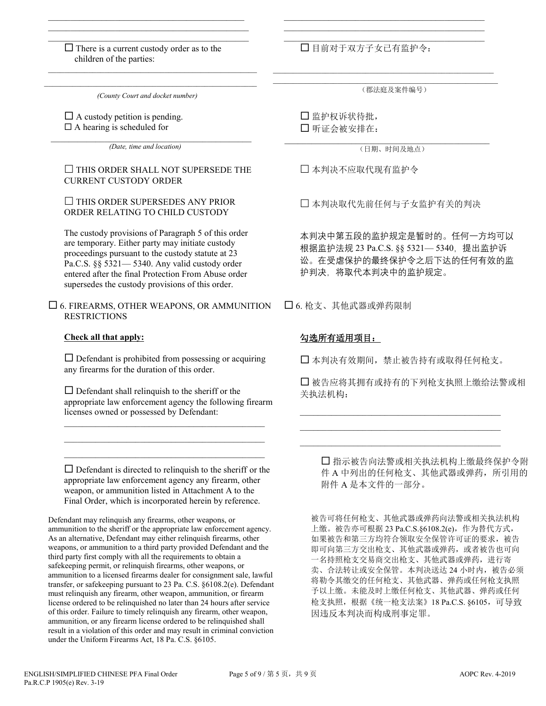\_\_\_\_\_\_\_\_\_\_\_\_\_\_\_\_\_\_\_\_\_\_\_\_\_\_\_\_\_\_\_\_\_\_\_\_\_\_\_\_\_\_\_\_\_  $\Box$  There is a current custody order as to the children of the parties:

 $\mathcal{L}_\text{max}$  and  $\mathcal{L}_\text{max}$  and  $\mathcal{L}_\text{max}$  and  $\mathcal{L}_\text{max}$  and  $\mathcal{L}_\text{max}$ \_\_\_\_\_\_\_\_\_\_\_\_\_\_\_\_\_\_\_\_\_\_\_\_\_\_\_\_\_\_\_\_\_\_\_\_\_\_\_\_\_\_\_\_\_

 $\mathcal{L}_\text{max}$  and  $\mathcal{L}_\text{max}$  and  $\mathcal{L}_\text{max}$  and  $\mathcal{L}_\text{max}$  and  $\mathcal{L}_\text{max}$ *(County Court and docket number)*

 $\Box$  A custody petition is pending.  $\Box$  A hearing is scheduled for

 $\mathcal{L}_\text{max}$  and  $\mathcal{L}_\text{max}$  and  $\mathcal{L}_\text{max}$  and  $\mathcal{L}_\text{max}$  and  $\mathcal{L}_\text{max}$ *(Date, time and location)*

#### $\square$  THIS ORDER SHALL NOT SUPERSEDE THE CURRENT CUSTODY ORDER

#### $\Box$  THIS ORDER SUPERSEDES ANY PRIOR ORDER RELATING TO CHILD CUSTODY

The custody provisions of Paragraph 5 of this order are temporary. Either party may initiate custody proceedings pursuant to the custody statute at 23 Pa.C.S. §§ 5321— 5340. Any valid custody order entered after the final Protection From Abuse order supersedes the custody provisions of this order.

 $\square$  6. FIREARMS, OTHER WEAPONS, OR AMMUNITION **RESTRICTIONS** 

#### **Check all that apply:**

 $\square$  Defendant is prohibited from possessing or acquiring any firearms for the duration of this order.

 $\square$  Defendant shall relinquish to the sheriff or the appropriate law enforcement agency the following firearm licenses owned or possessed by Defendant:

\_\_\_\_\_\_\_\_\_\_\_\_\_\_\_\_\_\_\_\_\_\_\_\_\_\_\_\_\_\_\_\_\_\_\_\_\_\_\_\_\_\_\_\_\_ \_\_\_\_\_\_\_\_\_\_\_\_\_\_\_\_\_\_\_\_\_\_\_\_\_\_\_\_\_\_\_\_\_\_\_\_\_\_\_\_\_\_\_\_\_  $\mathcal{L}_\text{max}$  and  $\mathcal{L}_\text{max}$  and  $\mathcal{L}_\text{max}$  and  $\mathcal{L}_\text{max}$  and  $\mathcal{L}_\text{max}$ 

 $\square$  Defendant is directed to relinquish to the sheriff or the appropriate law enforcement agency any firearm, other weapon, or ammunition listed in Attachment A to the Final Order, which is incorporated herein by reference.

Defendant may relinquish any firearms, other weapons, or ammunition to the sheriff or the appropriate law enforcement agency. As an alternative, Defendant may either relinquish firearms, other weapons, or ammunition to a third party provided Defendant and the third party first comply with all the requirements to obtain a safekeeping permit, or relinquish firearms, other weapons, or ammunition to a licensed firearms dealer for consignment sale, lawful transfer, or safekeeping pursuant to 23 Pa. C.S. §6108.2(e). Defendant must relinquish any firearm, other weapon, ammunition, or firearm license ordered to be relinquished no later than 24 hours after service of this order. Failure to timely relinquish any firearm, other weapon, ammunition, or any firearm license ordered to be relinquished shall result in a violation of this order and may result in criminal conviction under the Uniform Firearms Act, 18 Pa. C.S. §6105.

目前对于双方子女已有监护令:

(郡法庭及案件编号)

\_\_\_\_\_\_\_\_\_\_\_\_\_\_\_\_\_\_\_\_\_\_\_\_\_\_\_\_\_\_\_\_\_\_\_\_\_\_\_\_\_\_\_\_\_ \_\_\_\_\_\_\_\_\_\_\_\_\_\_\_\_\_\_\_\_\_\_\_\_\_\_\_\_\_\_\_\_\_\_\_\_\_\_\_\_\_\_\_\_\_ \_\_\_\_\_\_\_\_\_\_\_\_\_\_\_\_\_\_\_\_\_\_\_\_\_\_\_\_\_\_\_\_\_\_\_\_\_\_\_\_\_\_\_\_\_

 $\mathcal{L}_\text{max}$  and  $\mathcal{L}_\text{max}$  and  $\mathcal{L}_\text{max}$  and  $\mathcal{L}_\text{max}$  and  $\mathcal{L}_\text{max}$  $\mathcal{L}_\text{max}$  and  $\mathcal{L}_\text{max}$  and  $\mathcal{L}_\text{max}$  and  $\mathcal{L}_\text{max}$  and  $\mathcal{L}_\text{max}$ 

> 监护权诉状待批, 听证会被安排在:

 $\mathcal{L}_\text{max}$  and  $\mathcal{L}_\text{max}$  and  $\mathcal{L}_\text{max}$  and  $\mathcal{L}_\text{max}$  and  $\mathcal{L}_\text{max}$ (日期、时间及地点)

本判决不应取代现有监护令

本判决取代先前任何与子女监护有关的判决

本判决中第五段的监护规定是暂时的。任何一方均可以 根据监护法规 23 Pa.C.S. §§ 5321— 5340, 提出监护诉 讼。在受虐保护的最终保护令之后下达的任何有效的监 护判决,将取代本判决中的监护规定。

6. 枪支、其他武器或弹药限制

# 勾选所有适用项目:

本判决有效期间,禁止被告持有或取得任何枪支。

\_\_\_\_\_\_\_\_\_\_\_\_\_\_\_\_\_\_\_\_\_\_\_\_\_\_\_\_\_\_\_\_\_\_\_\_\_\_\_\_\_\_\_\_\_ \_\_\_\_\_\_\_\_\_\_\_\_\_\_\_\_\_\_\_\_\_\_\_\_\_\_\_\_\_\_\_\_\_\_\_\_\_\_\_\_\_\_\_\_\_ \_\_\_\_\_\_\_\_\_\_\_\_\_\_\_\_\_\_\_\_\_\_\_\_\_\_\_\_\_\_\_\_\_\_\_\_\_\_\_\_\_\_\_\_\_

 被告应将其拥有或持有的下列枪支执照上缴给法警或相 关执法机构:

 指示被告向法警或相关执法机构上缴最终保护令附 件 A 中列出的任何枪支、其他武器或弹药, 所引用的 附件 A 是本文件的一部分。

被告可将任何枪支、其他武器或弹药向法警或相关执法机构 上缴。被告亦可根据 23 Pa.C.S.§6108.2(e),作为替代方式, 如果被告和第三方均符合领取安全保管许可证的要求,被告 即可向第三方交出枪支、其他武器或弹药,或者被告也可向 一名持照枪支交易商交出枪支、其他武器或弹药,进行寄 卖、合法转让或安全保管。本判决送达 24 小时内,被告必须 将勒令其缴交的任何枪支、其他武器、弹药或任何枪支执照 予以上缴。未能及时上缴任何枪支、其他武器、弹药或任何 枪支执照,根据《统一枪支法案》18 Pa.C.S. §6105,可导致 因违反本判决而构成刑事定罪。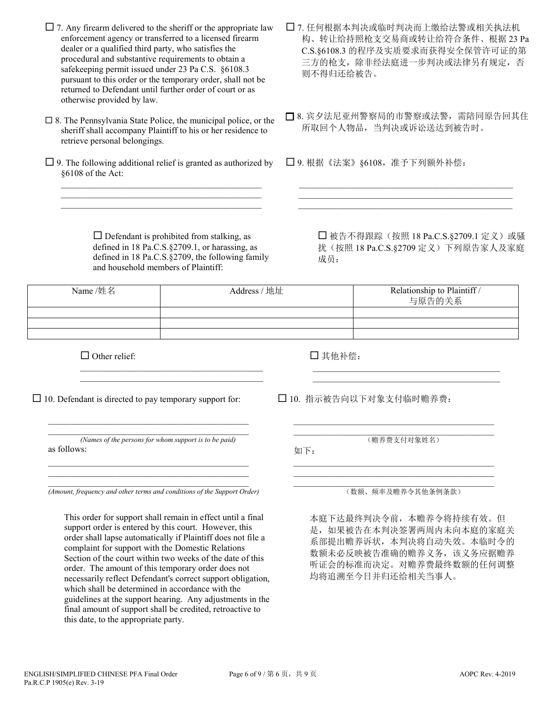$\Box$  7. Any firearm delivered to the sheriff or the appropriate law enforcement agency or transferred to a licensed firearm dealer or a qualified third party, who satisfies the procedural and substantive requirements to obtain a safekeeping permit issued under 23 Pa C.S. §6108.3 pursuant to this order or the temporary order, shall not be returned to Defendant until further order of court or as otherwise provided by law.

- $\square$  8. The Pennsylvania State Police, the municipal police, or the sheriff shall accompany Plaintiff to his or her residence to retrieve personal belongings.
- $\Box$  9. The following additional relief is granted as authorized by §6108 of the Act: \_\_\_\_\_\_\_\_\_\_\_\_\_\_\_\_\_\_\_\_\_\_\_\_\_\_\_\_\_\_\_\_\_\_\_\_\_\_\_\_\_\_\_\_\_

 $\overline{a_1}$  ,  $\overline{a_2}$  ,  $\overline{a_3}$  ,  $\overline{a_4}$  ,  $\overline{a_5}$  ,  $\overline{a_6}$  ,  $\overline{a_7}$  ,  $\overline{a_8}$  ,  $\overline{a_9}$  ,  $\overline{a_9}$  ,  $\overline{a_9}$  ,  $\overline{a_9}$  ,  $\overline{a_9}$  ,  $\overline{a_9}$  ,  $\overline{a_9}$  ,  $\overline{a_9}$  ,  $\overline{a_9}$  ,  $\overline{a_1}$  ,  $\overline{a_2}$  ,  $\overline{a_3}$  ,  $\overline{a_4}$  ,  $\overline{a_5}$  ,  $\overline{a_6}$  ,  $\overline{a_7}$  ,  $\overline{a_8}$  ,  $\overline{a_9}$  ,  $\overline{a_9}$  ,  $\overline{a_9}$  ,  $\overline{a_9}$  ,  $\overline{a_9}$  ,  $\overline{a_9}$  ,  $\overline{a_9}$  ,  $\overline{a_9}$  ,  $\overline{a_9}$  ,

> $\square$  Defendant is prohibited from stalking, as defined in 18 Pa.C.S.§2709.1, or harassing, as defined in 18 Pa.C.S.§2709, the following family and household members of Plaintiff:

 $\mathcal{L}_\text{max}$  and  $\mathcal{L}_\text{max}$  and  $\mathcal{L}_\text{max}$  and  $\mathcal{L}_\text{max}$  $\mathcal{L}_\mathcal{L}$  , and the set of the set of the set of the set of the set of the set of the set of the set of the set of the set of the set of the set of the set of the set of the set of the set of the set of the set of th

- 7. 任何根据本判决或临时判决而上缴给法警或相关执法机 构、转让给持照枪支交易商或转让给符合条件、根据 23 Pa C.S.§6108.3 的程序及实质要求而获得安全保管许可证的第 三方的枪支,除非经法庭进一步判决或法律另有规定,否 则不得归还给被告。
- 8. 宾夕法尼亚州警察局的市警察或法警,需陪同原告回其住 所取回个人物品,当判决或诉讼送达到被告时。

 $\mathcal{L}=\underbrace{\mathcal{L}=\mathcal{L}=\mathcal{L}=\mathcal{L}=\mathcal{L}=\mathcal{L}=\mathcal{L}=\mathcal{L}=\mathcal{L}=\mathcal{L}=\mathcal{L}=\mathcal{L}=\mathcal{L}=\mathcal{L}=\mathcal{L}=\mathcal{L}=\mathcal{L}=\mathcal{L}=\mathcal{L}=\mathcal{L}=\mathcal{L}=\mathcal{L}=\mathcal{L}=\mathcal{L}=\mathcal{L}=\mathcal{L}=\mathcal{L}=\mathcal{L}=\mathcal{L}=\mathcal{L}=\mathcal{L}=\mathcal{L}=\mathcal{L}=\mathcal{L}=\mathcal{L}=\$  $\_$  , and the set of the set of the set of the set of the set of the set of the set of the set of the set of the set of the set of the set of the set of the set of the set of the set of the set of the set of the set of th  $\_$  , and the set of the set of the set of the set of the set of the set of the set of the set of the set of the set of the set of the set of the set of the set of the set of the set of the set of the set of the set of th

9. 根据《法案》§6108,准予下列额外补偿:

□ 被告不得跟踪(按照 18 Pa.C.S.§2709.1 定义)或骚 扰(按照 18 Pa.C.S.§2709 定义)下列原告家人及家庭 成员:

| Name /姓名 | Address / 地址 | Relationship to Plaintiff /<br>与原告的关系 |
|----------|--------------|---------------------------------------|
|          |              |                                       |
|          |              |                                       |
|          |              |                                       |

 $\Box$  Other relief:

其他补偿:

 $\Box$  10. Defendant is directed to pay temporary support for:

\_\_\_\_\_\_\_\_\_\_\_\_\_\_\_\_\_\_\_\_\_\_\_\_\_\_\_\_\_\_\_\_\_\_\_\_\_\_\_\_\_\_\_\_\_ *(Names of the persons for whom support is to be paid)* as follows: \_\_\_\_\_\_\_\_\_\_\_\_\_\_\_\_\_\_\_\_\_\_\_\_\_\_\_\_\_\_\_\_\_\_\_\_\_\_\_\_\_\_\_\_\_

 $\mathcal{L}_\text{max}$  and  $\mathcal{L}_\text{max}$  and  $\mathcal{L}_\text{max}$  and  $\mathcal{L}_\text{max}$  and  $\mathcal{L}_\text{max}$ 

\_\_\_\_\_\_\_\_\_\_\_\_\_\_\_\_\_\_\_\_\_\_\_\_\_\_\_\_\_\_\_\_\_\_\_\_\_\_\_\_\_\_\_\_\_

 $\mathcal{L}_\text{max}$  and  $\mathcal{L}_\text{max}$  and  $\mathcal{L}_\text{max}$  and  $\mathcal{L}_\text{max}$  and  $\mathcal{L}_\text{max}$ *(Amount, frequency and other terms and conditions of the Support Order)*

This order for support shall remain in effect until a final support order is entered by this court. However, this order shall lapse automatically if Plaintiff does not file a complaint for support with the Domestic Relations Section of the court within two weeks of the date of this order. The amount of this temporary order does not necessarily reflect Defendant's correct support obligation, which shall be determined in accordance with the guidelines at the support hearing. Any adjustments in the final amount of support shall be credited, retroactive to this date, to the appropriate party.

10. 指示被告向以下对象支付临时赡养费:

 $\overline{a_1}$  ,  $\overline{a_2}$  ,  $\overline{a_3}$  ,  $\overline{a_4}$  ,  $\overline{a_5}$  ,  $\overline{a_6}$  ,  $\overline{a_7}$  ,  $\overline{a_8}$  ,  $\overline{a_9}$  ,  $\overline{a_9}$  ,  $\overline{a_9}$  ,  $\overline{a_9}$  ,  $\overline{a_9}$  ,  $\overline{a_9}$  ,  $\overline{a_9}$  ,  $\overline{a_9}$  ,  $\overline{a_9}$  , (赡养费支付对象姓名)

\_\_\_\_\_\_\_\_\_\_\_\_\_\_\_\_\_\_\_\_\_\_\_\_\_\_\_\_\_\_\_\_\_\_\_\_\_\_\_\_\_\_\_\_\_

\_\_\_\_\_\_\_\_\_\_\_\_\_\_\_\_\_\_\_\_\_\_\_\_\_\_\_\_\_\_\_\_\_\_\_\_\_\_\_\_\_\_\_\_\_

 $\mathcal{L}_\text{max}$  and  $\mathcal{L}_\text{max}$  and  $\mathcal{L}_\text{max}$  and  $\mathcal{L}_\text{max}$  and  $\mathcal{L}_\text{max}$  $\mathcal{L}_\mathcal{L}$  , which is a set of the set of the set of the set of the set of the set of the set of the set of the set of the set of the set of the set of the set of the set of the set of the set of the set of the set of

如下:  $\overline{a_1}$  ,  $\overline{a_2}$  ,  $\overline{a_3}$  ,  $\overline{a_4}$  ,  $\overline{a_5}$  ,  $\overline{a_6}$  ,  $\overline{a_7}$  ,  $\overline{a_8}$  ,  $\overline{a_9}$  ,  $\overline{a_9}$  ,  $\overline{a_9}$  ,  $\overline{a_9}$  ,  $\overline{a_9}$  ,  $\overline{a_9}$  ,  $\overline{a_9}$  ,  $\overline{a_9}$  ,  $\overline{a_9}$  ,

\_\_\_\_\_\_\_\_\_\_\_\_\_\_\_\_\_\_\_\_\_\_\_\_\_\_\_\_\_\_\_\_\_\_\_\_\_\_\_\_\_\_\_\_\_ (数额、频率及赡养令其他条例条款)

本庭下达最终判决令前,本赡养令将持续有效。但 是,如果被告在本判决签署两周内未向本庭的家庭关 系部提出赡养诉状,本判决将自动失效。本临时令的 数额未必反映被告准确的赡养义务,该义务应据赡养 听证会的标准而决定。对赡养费最终数额的任何调整 均将追溯至今日并归还给相关当事人。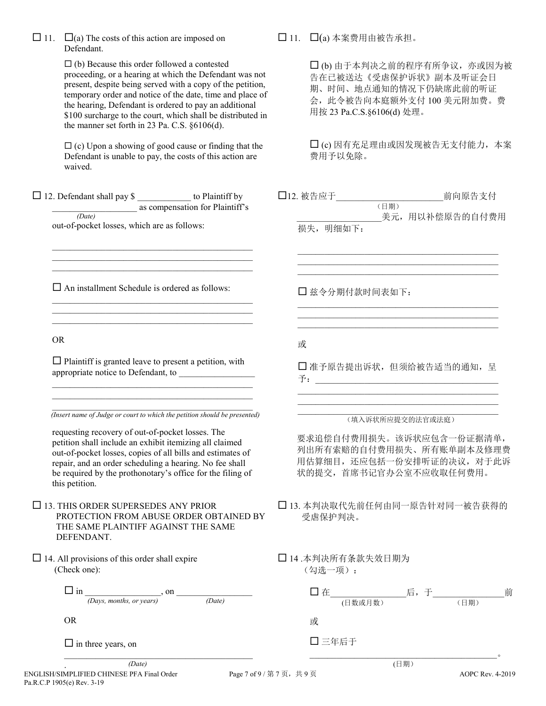| $\Box$ 11. $\Box$ (a) The costs of this action are imposed on |
|---------------------------------------------------------------|
| Defendant.                                                    |

 $\Box$  (b) Because this order followed a contested proceeding, or a hearing at which the Defendant was not present, despite being served with a copy of the petition, temporary order and notice of the date, time and place of the hearing, Defendant is ordered to pay an additional \$100 surcharge to the court, which shall be distributed in the manner set forth in 23 Pa. C.S. §6106(d).

 $\Box$  (c) Upon a showing of good cause or finding that the Defendant is unable to pay, the costs of this action are waived.

 $\Box$  12. Defendant shall pay \$ \_\_\_\_\_\_\_\_\_\_\_\_\_\_ to Plaintiff by as compensation for Plaintiff's  *(Date)*

out-of-pocket losses, which are as follows:

 $\square$  An installment Schedule is ordered as follows:

\_\_\_\_\_\_\_\_\_\_\_\_\_\_\_\_\_\_\_\_\_\_\_\_\_\_\_\_\_\_\_\_\_\_\_\_\_\_\_\_\_\_\_\_\_  $\mathcal{L}_\mathcal{L} = \{ \mathcal{L}_\mathcal{L} = \{ \mathcal{L}_\mathcal{L} = \{ \mathcal{L}_\mathcal{L} = \{ \mathcal{L}_\mathcal{L} = \{ \mathcal{L}_\mathcal{L} = \{ \mathcal{L}_\mathcal{L} = \{ \mathcal{L}_\mathcal{L} = \{ \mathcal{L}_\mathcal{L} = \{ \mathcal{L}_\mathcal{L} = \{ \mathcal{L}_\mathcal{L} = \{ \mathcal{L}_\mathcal{L} = \{ \mathcal{L}_\mathcal{L} = \{ \mathcal{L}_\mathcal{L} = \{ \mathcal{L}_\mathcal{$  $\mathcal{L}_\mathcal{L} = \{ \mathcal{L}_\mathcal{L} = \{ \mathcal{L}_\mathcal{L} = \{ \mathcal{L}_\mathcal{L} = \{ \mathcal{L}_\mathcal{L} = \{ \mathcal{L}_\mathcal{L} = \{ \mathcal{L}_\mathcal{L} = \{ \mathcal{L}_\mathcal{L} = \{ \mathcal{L}_\mathcal{L} = \{ \mathcal{L}_\mathcal{L} = \{ \mathcal{L}_\mathcal{L} = \{ \mathcal{L}_\mathcal{L} = \{ \mathcal{L}_\mathcal{L} = \{ \mathcal{L}_\mathcal{L} = \{ \mathcal{L}_\mathcal{$ 

 $\mathcal{L}_\text{max}$  and  $\mathcal{L}_\text{max}$  and  $\mathcal{L}_\text{max}$  and  $\mathcal{L}_\text{max}$  and  $\mathcal{L}_\text{max}$  $\mathcal{L}_\mathcal{L} = \{ \mathcal{L}_\mathcal{L} = \{ \mathcal{L}_\mathcal{L} = \{ \mathcal{L}_\mathcal{L} = \{ \mathcal{L}_\mathcal{L} = \{ \mathcal{L}_\mathcal{L} = \{ \mathcal{L}_\mathcal{L} = \{ \mathcal{L}_\mathcal{L} = \{ \mathcal{L}_\mathcal{L} = \{ \mathcal{L}_\mathcal{L} = \{ \mathcal{L}_\mathcal{L} = \{ \mathcal{L}_\mathcal{L} = \{ \mathcal{L}_\mathcal{L} = \{ \mathcal{L}_\mathcal{L} = \{ \mathcal{L}_\mathcal{$  $\mathcal{L}_\mathcal{L} = \{ \mathcal{L}_\mathcal{L} = \{ \mathcal{L}_\mathcal{L} = \{ \mathcal{L}_\mathcal{L} = \{ \mathcal{L}_\mathcal{L} = \{ \mathcal{L}_\mathcal{L} = \{ \mathcal{L}_\mathcal{L} = \{ \mathcal{L}_\mathcal{L} = \{ \mathcal{L}_\mathcal{L} = \{ \mathcal{L}_\mathcal{L} = \{ \mathcal{L}_\mathcal{L} = \{ \mathcal{L}_\mathcal{L} = \{ \mathcal{L}_\mathcal{L} = \{ \mathcal{L}_\mathcal{L} = \{ \mathcal{L}_\mathcal{$ 

OR

 $\square$  Plaintiff is granted leave to present a petition, with appropriate notice to Defendant, to \_\_\_\_\_\_\_\_\_\_\_\_\_\_\_\_\_

 $\mathcal{L}_\text{max}$  and  $\mathcal{L}_\text{max}$  and  $\mathcal{L}_\text{max}$  and  $\mathcal{L}_\text{max}$  and  $\mathcal{L}_\text{max}$  $\mathcal{L}_\mathcal{L} = \{ \mathcal{L}_\mathcal{L} = \{ \mathcal{L}_\mathcal{L} = \{ \mathcal{L}_\mathcal{L} = \{ \mathcal{L}_\mathcal{L} = \{ \mathcal{L}_\mathcal{L} = \{ \mathcal{L}_\mathcal{L} = \{ \mathcal{L}_\mathcal{L} = \{ \mathcal{L}_\mathcal{L} = \{ \mathcal{L}_\mathcal{L} = \{ \mathcal{L}_\mathcal{L} = \{ \mathcal{L}_\mathcal{L} = \{ \mathcal{L}_\mathcal{L} = \{ \mathcal{L}_\mathcal{L} = \{ \mathcal{L}_\mathcal{$ 

 $\mathcal{L}_\mathcal{L} = \{ \mathcal{L}_\mathcal{L} = \{ \mathcal{L}_\mathcal{L} = \{ \mathcal{L}_\mathcal{L} = \{ \mathcal{L}_\mathcal{L} = \{ \mathcal{L}_\mathcal{L} = \{ \mathcal{L}_\mathcal{L} = \{ \mathcal{L}_\mathcal{L} = \{ \mathcal{L}_\mathcal{L} = \{ \mathcal{L}_\mathcal{L} = \{ \mathcal{L}_\mathcal{L} = \{ \mathcal{L}_\mathcal{L} = \{ \mathcal{L}_\mathcal{L} = \{ \mathcal{L}_\mathcal{L} = \{ \mathcal{L}_\mathcal{$  *(Insert name of Judge or court to which the petition should be presented)*

requesting recovery of out-of-pocket losses. The petition shall include an exhibit itemizing all claimed out-of-pocket losses, copies of all bills and estimates of repair, and an order scheduling a hearing. No fee shall be required by the prothonotary's office for the filing of this petition.

 $\Box$  13. THIS ORDER SUPERSEDES ANY PRIOR PROTECTION FROM ABUSE ORDER OBTAINED BY THE SAME PLAINTIFF AGAINST THE SAME DEFENDANT.

 $\Box$  14. All provisions of this order shall expire (Check one):

> in \_\_\_\_\_\_\_\_\_\_\_\_\_\_\_\_\_, on \_\_\_\_\_\_\_\_\_\_\_\_\_\_\_\_\_ *(Days, months, or years) (Date)*

> $\mathcal{L}_\mathcal{L}$  , where  $\mathcal{L}_\mathcal{L}$  , we have the set of the set of the set of the set of the set of the set of the set of the set of the set of the set of the set of the set of the set of the set of the set of the set

OR

 $\Box$  in three years, on

 $\Box$  11.  $\Box$ (a) 本案费用由被告承担。

 (b) 由于本判决之前的程序有所争议,亦或因为被 告在已被送达《受虐保护诉状》副本及听证会日 期、时间、地点通知的情况下仍缺席此前的听证 会,此令被告向本庭额外支付 100 美元附加费。费 用按 23 Pa.C.S.§6106(d) 处理。

 (c) 因有充足理由或因发现被告无支付能力,本案 费用予以免除。

12. 被告应于\_\_\_\_\_\_\_\_\_\_\_\_\_\_\_\_\_\_\_\_\_\_\_\_前向原告支付 (日期) 美元,用以补偿原告的自付费用

 $\mathcal{L}_\mathcal{L}$  , and the set of the set of the set of the set of the set of the set of the set of the set of the set of the set of the set of the set of the set of the set of the set of the set of the set of the set of th  $\mathcal{L}_\mathcal{L}$  , and the set of the set of the set of the set of the set of the set of the set of the set of the set of the set of the set of the set of the set of the set of the set of the set of the set of the set of th  $\mathcal{L}_\mathcal{L}$  , and the set of the set of the set of the set of the set of the set of the set of the set of the set of the set of the set of the set of the set of the set of the set of the set of the set of the set of th

\_\_\_\_\_\_\_\_\_\_\_\_\_\_\_\_\_\_\_\_\_\_\_\_\_\_\_\_\_\_\_\_\_\_\_\_\_\_\_\_\_\_\_\_\_  $\mathcal{L}_\mathcal{L}$  , and the set of the set of the set of the set of the set of the set of the set of the set of the set of the set of the set of the set of the set of the set of the set of the set of the set of the set of th  $\mathcal{L}_\mathcal{L}$  , and the set of the set of the set of the set of the set of the set of the set of the set of the set of the set of the set of the set of the set of the set of the set of the set of the set of the set of th

损失, 明细如下:

兹令分期付款时间表如下:

或

 准予原告提出诉状,但须给被告适当的通知,呈 予:\_\_\_\_\_\_\_\_\_\_\_\_\_\_\_\_\_\_\_\_\_\_\_\_\_\_\_\_\_\_\_\_\_\_\_\_\_\_\_\_\_

\_\_\_\_\_\_\_\_\_\_\_\_\_\_\_\_\_\_\_\_\_\_\_\_\_\_\_\_\_\_\_\_\_\_\_\_\_\_\_\_\_\_\_\_\_ \_\_\_\_\_\_\_\_\_\_\_\_\_\_\_\_\_\_\_\_\_\_\_\_\_\_\_\_\_\_\_\_\_\_\_\_\_\_\_\_\_\_\_\_\_

#### \_\_\_\_\_\_\_\_\_\_\_\_\_\_\_\_\_\_\_\_\_\_\_\_\_\_\_\_\_\_\_\_\_\_\_\_\_\_\_\_\_\_\_\_\_ (填入诉状所应提交的法官或法庭)

要求追偿自付费用损失。该诉状应包含一份证据清单, 列出所有索赔的自付费用损失、所有账单副本及修理费 用估算细目,还应包括一份安排听证的决议,对于此诉 状的提交,首席书记官办公室不应收取任何费用。

- 13. 本判决取代先前任何由同一原告针对同一被告获得的 受虐保护判决。
- 14 .本判决所有条款失效日期为 (勾选一项):

| 口在    |         | 后,于                         |      |         |
|-------|---------|-----------------------------|------|---------|
|       | (日数或月数) |                             | (日期) |         |
| 或     |         |                             |      |         |
| 口三年后于 |         |                             |      |         |
|       |         |                             |      | $\circ$ |
|       |         | $\times$ FT $+$ HT $\times$ |      |         |

ENGLISH/SIMPLIFIED CHINESE PFA Final Order Page 7 of 9 / 第 7 页, 共 9 页 AOPC Rev. 4-2019 Pa.R.C.P 1905(e) Rev. 3-19 . *(Date)*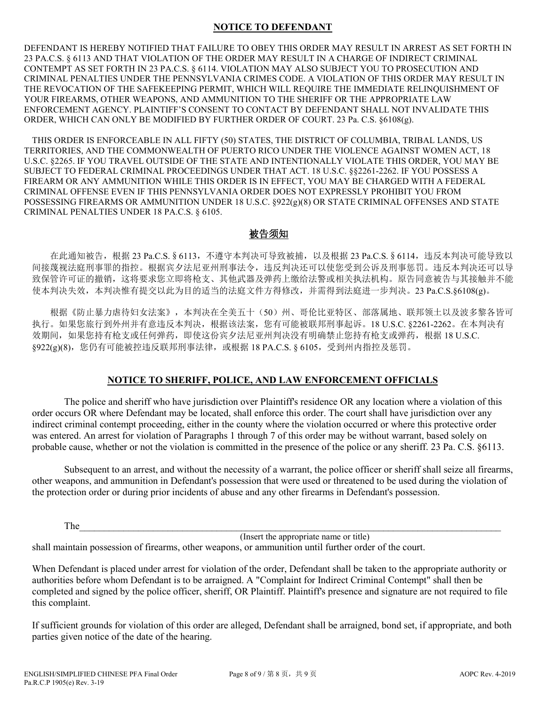## **NOTICE TO DEFENDANT**

DEFENDANT IS HEREBY NOTIFIED THAT FAILURE TO OBEY THIS ORDER MAY RESULT IN ARREST AS SET FORTH IN 23 PA.C.S. § 6113 AND THAT VIOLATION OF THE ORDER MAY RESULT IN A CHARGE OF INDIRECT CRIMINAL CONTEMPT AS SET FORTH IN 23 PA.C.S. § 6114. VIOLATION MAY ALSO SUBJECT YOU TO PROSECUTION AND CRIMINAL PENALTIES UNDER THE PENNSYLVANIA CRIMES CODE. A VIOLATION OF THIS ORDER MAY RESULT IN THE REVOCATION OF THE SAFEKEEPING PERMIT, WHICH WILL REQUIRE THE IMMEDIATE RELINQUISHMENT OF YOUR FIREARMS, OTHER WEAPONS, AND AMMUNITION TO THE SHERIFF OR THE APPROPRIATE LAW ENFORCEMENT AGENCY. PLAINTIFF'S CONSENT TO CONTACT BY DEFENDANT SHALL NOT INVALIDATE THIS ORDER, WHICH CAN ONLY BE MODIFIED BY FURTHER ORDER OF COURT. 23 Pa. C.S. §6108(g).

THIS ORDER IS ENFORCEABLE IN ALL FIFTY (50) STATES, THE DISTRICT OF COLUMBIA, TRIBAL LANDS, US TERRITORIES, AND THE COMMONWEALTH OF PUERTO RICO UNDER THE VIOLENCE AGAINST WOMEN ACT, 18 U.S.C. §2265. IF YOU TRAVEL OUTSIDE OF THE STATE AND INTENTIONALLY VIOLATE THIS ORDER, YOU MAY BE SUBJECT TO FEDERAL CRIMINAL PROCEEDINGS UNDER THAT ACT. 18 U.S.C. §§2261-2262. IF YOU POSSESS A FIREARM OR ANY AMMUNITION WHILE THIS ORDER IS IN EFFECT, YOU MAY BE CHARGED WITH A FEDERAL CRIMINAL OFFENSE EVEN IF THIS PENNSYLVANIA ORDER DOES NOT EXPRESSLY PROHIBIT YOU FROM POSSESSING FIREARMS OR AMMUNITION UNDER 18 U.S.C. §922(g)(8) OR STATE CRIMINAL OFFENSES AND STATE CRIMINAL PENALTIES UNDER 18 PA.C.S. § 6105.

## 被告须知

在此通知被告,根据 23 Pa.C.S. § 6113, 不遵守本判决可导致被捕, 以及根据 23 Pa.C.S. § 6114, 违反本判决可能导致以 间接蔑视法庭刑事罪的指控。根据宾夕法尼亚州刑事法令,违反判决还可以使您受到公诉及刑事惩罚。违反本判决还可以导 致保管许可证的撤销,这将要求您立即将枪支、其他武器及弹药上缴给法警或相关执法机构。原告同意被告与其接触并不能 使本判决失效,本判决惟有提交以此为目的适当的法庭文件方得修改,并需得到法庭进一步判决。23 Pa.C.S.§6108(g)。

 根据《防止暴力虐待妇女法案》,本判决在全美五十(50)州、哥伦比亚特区、部落属地、联邦领土以及波多黎各皆可 执行。如果您旅行到外州并有意违反本判决,根据该法案,您有可能被联邦刑事起诉。18 U.S.C. §2261-2262。在本判决有 效期间, 如果您持有枪支或任何弹药, 即使这份宾夕法尼亚州判决没有明确禁止您持有枪支或弹药, 根据 18 U.S.C.  $\S 922(g)(8)$ , 您仍有可能被控违反联邦刑事法律, 或根据 18 PA.C.S.  $\S 6105$ , 受到州内指控及惩罚。

## **NOTICE TO SHERIFF, POLICE, AND LAW ENFORCEMENT OFFICIALS**

The police and sheriff who have jurisdiction over Plaintiff's residence OR any location where a violation of this order occurs OR where Defendant may be located, shall enforce this order. The court shall have jurisdiction over any indirect criminal contempt proceeding, either in the county where the violation occurred or where this protective order was entered. An arrest for violation of Paragraphs 1 through 7 of this order may be without warrant, based solely on probable cause, whether or not the violation is committed in the presence of the police or any sheriff. 23 Pa. C.S. §6113.

Subsequent to an arrest, and without the necessity of a warrant, the police officer or sheriff shall seize all firearms, other weapons, and ammunition in Defendant's possession that were used or threatened to be used during the violation of the protection order or during prior incidents of abuse and any other firearms in Defendant's possession.

The  $\Box$ 

(Insert the appropriate name or title) shall maintain possession of firearms, other weapons, or ammunition until further order of the court.

When Defendant is placed under arrest for violation of the order, Defendant shall be taken to the appropriate authority or authorities before whom Defendant is to be arraigned. A "Complaint for Indirect Criminal Contempt" shall then be completed and signed by the police officer, sheriff, OR Plaintiff. Plaintiff's presence and signature are not required to file this complaint.

If sufficient grounds for violation of this order are alleged, Defendant shall be arraigned, bond set, if appropriate, and both parties given notice of the date of the hearing.